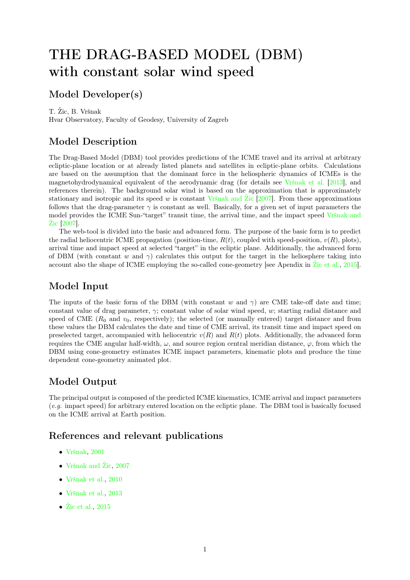# THE DRAG-BASED MODEL (DBM) with constant solar wind speed

## Model Developer(s)

T. Žic, B. Vršnak

Hvar Observatory, Faculty of Geodesy, University of Zagreb

## Model Description

The Drag-Based Model (DBM) tool provides predictions of the ICME travel and its arrival at arbitrary ecliptic-plane location or at already listed planets and satellites in ecliptic-plane orbits. Calculations are based on the assumption that the dominant force in the heliospheric dynamics of ICMEs is the magnetohydrodynamical equivalent of the aerodynamic drag (for details see [Vršnak et al.](#page-5-0) [\[2013\]](#page-5-0), and references therein). The background solar wind is based on the approximation that is approximately stationary and isotropic and its speed w is constant Vršnak and  $\mathbb{Z}$ ic [\[2007\]](#page-5-1). From these approximations follows that the drag-parameter  $\gamma$  is constant as well. Basically, for a given set of input parameters the model provides the ICME Sun-"target" transit time, the arrival time, and the impact speed [Vršnak and](#page-5-1) [Žic](#page-5-1) [\[2007\]](#page-5-1).

The web-tool is divided into the basic and advanced form. The purpose of the basic form is to predict the radial heliocentric ICME propagation (position-time,  $R(t)$ , coupled with speed-position,  $v(R)$ , plots), arrival time and impact speed at selected "target" in the ecliptic plane. Additionally, the advanced form of DBM (with constant w and  $\gamma$ ) calculates this output for the target in the heliosphere taking into account also the shape of ICME employing the so-called cone-geometry [see Apendix in [Žic et al.,](#page-5-2) [2015\]](#page-5-2).

## Model Input

The inputs of the basic form of the DBM (with constant w and  $\gamma$ ) are CME take-off date and time; constant value of drag parameter,  $\gamma$ ; constant value of solar wind speed, w; starting radial distance and speed of CME  $(R_0$  and  $v_0$ , respectively); the selected (or manually entered) target distance and from these values the DBM calculates the date and time of CME arrival, its transit time and impact speed on preselected target, accompanied with heliocentric  $v(R)$  and  $R(t)$  plots. Additionally, the advanced form requires the CME angular half-width,  $\omega$ , and source region central meridian distance,  $\varphi$ , from which the DBM using cone-geometry estimates ICME impact parameters, kinematic plots and produce the time dependent cone-geometry animated plot.

## Model Output

The principal output is composed of the predicted ICME kinematics, ICME arrival and impact parameters (e.g. impact speed) for arbitrary entered location on the ecliptic plane. The DBM tool is basically focused on the ICME arrival at Earth position.

### References and relevant publications

- [Vršnak,](#page-5-3) [2001](#page-5-3)
- [Vršnak and Žic,](#page-5-1) [2007](#page-5-1)
- [Vršnak et al.,](#page-5-4) [2010](#page-5-4)
- [Vršnak et al.,](#page-5-0) [2013](#page-5-0)
- [Žic et al.,](#page-5-2) [2015](#page-5-2)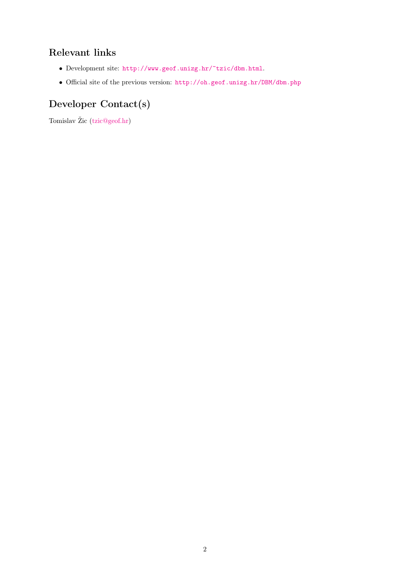## Relevant links

- Development site: <http://www.geof.unizg.hr/~tzic/dbm.html>.
- Official site of the previous version: <http://oh.geof.unizg.hr/DBM/dbm.php>

## Developer Contact(s)

Tomislav Žic [\(tzic@geof.hr\)](mailto:tzic@geof.hr)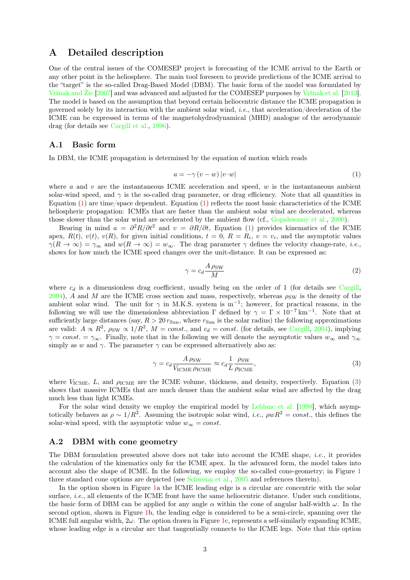### A Detailed description

One of the central issues of the COMESEP project is forecasting of the ICME arrival to the Earth or any other point in the heliosphere. The main tool foreseen to provide predictions of the ICME arrival to the "target" is the so-called Drag-Based Model (DBM). The basic form of the model was formulated by [Vršnak and Žic](#page-5-1) [\[2007\]](#page-5-1) and was advanced and adjusted for the COMESEP purposes by [Vršnak et al.](#page-5-0) [\[2013\]](#page-5-0). The model is based on the assumption that beyond certain heliocentric distance the ICME propagation is governed solely by its interaction with the ambient solar wind, *i.e.*, that acceleration/deceleration of the ICME can be expressed in terms of the magnetohydrodynamical (MHD) analogue of the aerodynamic drag (for details see [Cargill et al.,](#page-4-0) [1996\)](#page-4-0).

#### A.1 Basic form

In DBM, the ICME propagation is determined by the equation of motion which reads

<span id="page-2-0"></span>
$$
a = -\gamma \left( v - w \right) |v-w| \tag{1}
$$

where  $a$  and  $v$  are the instantaneous ICME acceleration and speed,  $w$  is the instantaneous ambient solar-wind speed, and  $\gamma$  is the so-called drag parameter, or drag efficiency. Note that all quantities in Equation [\(1\)](#page-2-0) are time/space dependent. Equation [\(1\)](#page-2-0) reflects the most basic characteristics of the ICME heliospheric propagation: ICMEs that are faster than the ambient solar wind are decelerated, whereas those slower than the solar wind are accelerated by the ambient flow (cf., [Gopalswamy et al.,](#page-4-1) [2000\)](#page-4-1).

Bearing in mind  $a = \frac{\partial^2 R}{\partial t^2}$  and  $v = \frac{\partial R}{\partial t}$ , Equation [\(1\)](#page-2-0) provides kinematics of the ICME apex,  $R(t)$ ,  $v(t)$ ,  $v(R)$ , for given initial conditions,  $t = 0$ ,  $R = R_i$ ,  $v = v_i$ , and the asymptotic values  $\gamma(R \to \infty) = \gamma_{\infty}$  and  $w(R \to \infty) = w_{\infty}$ . The drag parameter  $\gamma$  defines the velocity change-rate, *i.e.*, shows for how much the ICME speed changes over the unit-distance. It can be expressed as:

$$
\gamma = c_d \frac{A \,\rho_{\rm SW}}{M} \tag{2}
$$

where  $c_d$  is a dimensionless drag coefficient, usually being on the order of 1 (for details see [Cargill,](#page-4-2) [2004\)](#page-4-2), A and M are the ICME cross section and mass, respectively, whereas  $\rho_{SW}$  is the density of the ambient solar wind. The unit for  $\gamma$  in M.K.S. system is m<sup>-1</sup>; however, for practical reasons, in the following we will use the dimensionless abbreviation  $\Gamma$  defined by  $\gamma = \Gamma \times 10^{-7} \text{ km}^{-1}$ . Note that at sufficiently large distances (say,  $R > 20 r_{\text{Sun}}$ , where  $r_{\text{Sun}}$  is the solar radius) the following approximations are valid:  $A \propto R^2$ ,  $\rho_{SW} \propto 1/R^2$ ,  $M = const.$ , and  $c_d = const.$  (for details, see [Cargill,](#page-4-2) [2004\)](#page-4-2), implying  $\gamma = const. = \gamma_{\infty}$ . Finally, note that in the following we will denote the asymptotic values  $w_{\infty}$  and  $\gamma_{\infty}$ simply as w and  $\gamma$ . The parameter  $\gamma$  can be expressed alternatively also as:

<span id="page-2-1"></span>
$$
\gamma = c_d \frac{A \,\rho_{\text{SW}}}{V_{\text{ICME}} \,\rho_{\text{ICME}}} \approx c_d \frac{1}{L} \frac{\rho_{\text{SW}}}{\rho_{\text{ICME}}},\tag{3}
$$

where  $V_{\text{ICME}}$ , L, and  $\rho_{\text{ICME}}$  are the ICME volume, thickness, and density, respectively. Equation [\(3\)](#page-2-1) shows that massive ICMEs that are much denser than the ambient solar wind are affected by the drag much less than light ICMEs.

For the solar wind density we employ the empirical model by [Leblanc et al.](#page-5-5) [\[1998\]](#page-5-5), which asymptotically behaves as  $\rho \sim 1/R^2$ . Assuming the isotropic solar wind, *i.e.*,  $\rho wR^2 = const.$ , this defines the solar-wind speed, with the asymptotic value  $w_{\infty} = const.$ 

#### A.2 DBM with cone geometry

The DBM formulation presented above does not take into account the ICME shape, i.e., it provides the calculation of the kinematics only for the ICME apex. In the advanced form, the model takes into account also the shape of ICME. In the following, we employ the so-called cone-geometry; in Figure [1](#page-3-0) three standard cone options are depicted (see [Schwenn et al.,](#page-5-6) [2005](#page-5-6) and references therein).

In the option shown in Figure [1a](#page-3-0) the ICME leading edge is a circular arc concentric with the solar surface, *i.e.*, all elements of the ICME front have the same heliocentric distance. Under such conditions, the basic form of DBM can be applied for any angle  $\alpha$  within the cone of angular half-width  $\omega$ . In the second option, shown in Figure [1b](#page-3-0), the leading edge is considered to be a semi-circle, spanning over the ICME full angular width,  $2\omega$ . The option drawn in Figure [1c](#page-3-0), represents a self-similarly expanding ICME, whose leading edge is a circular arc that tangentially connects to the ICME legs. Note that this option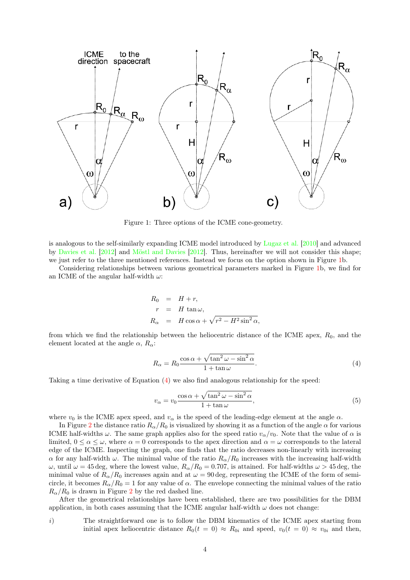

<span id="page-3-0"></span>Figure 1: Three options of the ICME cone-geometry.

is analogous to the self-similarly expanding ICME model introduced by [Lugaz et al.](#page-5-7) [\[2010\]](#page-5-7) and advanced by [Davies et al.](#page-4-3) [\[2012\]](#page-4-3) and [Möstl and Davies](#page-5-8) [\[2012\]](#page-5-8). Thus, hereinafter we will not consider this shape; we just refer to the three mentioned references. Instead we focus on the option shown in Figure [1b](#page-3-0).

Considering relationships between various geometrical parameters marked in Figure [1b](#page-3-0), we find for an ICME of the angular half-width  $\omega$ :

$$
R_0 = H + r,
$$
  
\n
$$
r = H \tan \omega,
$$
  
\n
$$
R_{\alpha} = H \cos \alpha + \sqrt{r^2 - H^2 \sin^2 \alpha},
$$

from which we find the relationship between the heliocentric distance of the ICME apex,  $R_0$ , and the element located at the angle  $\alpha$ ,  $R_{\alpha}$ :

<span id="page-3-1"></span>
$$
R_{\alpha} = R_0 \frac{\cos \alpha + \sqrt{\tan^2 \omega - \sin^2 \alpha}}{1 + \tan \omega}.
$$
 (4)

Taking a time derivative of Equation [\(4\)](#page-3-1) we also find analogous relationship for the speed:

<span id="page-3-2"></span>
$$
v_{\alpha} = v_0 \frac{\cos \alpha + \sqrt{\tan^2 \omega - \sin^2 \alpha}}{1 + \tan \omega},
$$
\n(5)

where  $v_0$  is the ICME apex speed, and  $v_\alpha$  is the speed of the leading-edge element at the angle  $\alpha$ .

In Figure [2](#page-4-4) the distance ratio  $R_{\alpha}/R_0$  is visualized by showing it as a function of the angle  $\alpha$  for various ICME half-widths  $\omega$ . The same graph applies also for the speed ratio  $v_{\alpha}/v_0$ . Note that the value of  $\alpha$  is limited,  $0 \le \alpha \le \omega$ , where  $\alpha = 0$  corresponds to the apex direction and  $\alpha = \omega$  corresponds to the lateral edge of the ICME. Inspecting the graph, one finds that the ratio decreases non-linearly with increasing  $\alpha$  for any half-width  $\omega$ . The minimal value of the ratio  $R_{\alpha}/R_0$  increases with the increasing half-width ω, until  $ω = 45$  deg, where the lowest value,  $R_α/R_0 = 0.707$ , is attained. For half-widths  $ω > 45$  deg, the minimal value of  $R_{\alpha}/R_0$  increases again and at  $\omega = 90 \text{ deg}$ , representing the ICME of the form of semicircle, it becomes  $R_{\alpha}/R_0 = 1$  for any value of  $\alpha$ . The envelope connecting the minimal values of the ratio  $R_{\alpha}/R_0$  is drawn in Figure [2](#page-4-4) by the red dashed line.

After the geometrical relationships have been established, there are two possibilities for the DBM application, in both cases assuming that the ICME angular half-width  $\omega$  does not change:

i) The straightforward one is to follow the DBM kinematics of the ICME apex starting from initial apex heliocentric distance  $R_0(t = 0) \approx R_{0i}$  and speed,  $v_0(t = 0) \approx v_{0i}$  and then,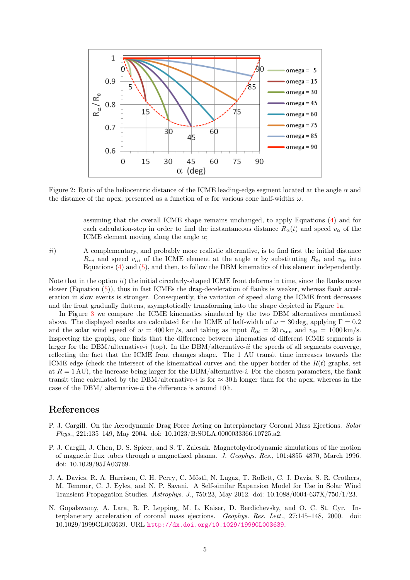

<span id="page-4-4"></span>Figure 2: Ratio of the heliocentric distance of the ICME leading-edge segment located at the angle α and the distance of the apex, presented as a function of  $\alpha$  for various cone half-widths  $\omega$ .

assuming that the overall ICME shape remains unchanged, to apply Equations [\(4\)](#page-3-1) and for each calculation-step in order to find the instantaneous distance  $R_{\alpha}(t)$  and speed  $v_{\alpha}$  of the ICME element moving along the angle  $\alpha$ ;

ii) A complementary, and probably more realistic alternative, is to find first the initial distance  $R_{\alpha i}$  and speed  $v_{\alpha i}$  of the ICME element at the angle  $\alpha$  by substituting  $R_{0i}$  and  $v_{0i}$  into Equations [\(4\)](#page-3-1) and [\(5\)](#page-3-2), and then, to follow the DBM kinematics of this element independently.

Note that in the option  $ii)$  the initial circularly-shaped ICME front deforms in time, since the flanks move slower (Equation [\(5\)](#page-3-2)), thus in fast ICMEs the drag-deceleration of flanks is weaker, whereas flank acceleration in slow events is stronger. Consequently, the variation of speed along the ICME front decreases and the front gradually flattens, asymptotically transforming into the shape depicted in Figure [1a](#page-3-0).

In Figure [3](#page-5-9) we compare the ICME kinematics simulated by the two DBM alternatives mentioned above. The displayed results are calculated for the ICME of half-width of  $\omega = 30 \text{ deg}$ , applying  $\Gamma = 0.2$ and the solar wind speed of  $w = 400 \text{ km/s}$ , and taking as input  $R_{0i} = 20 r_{Sun}$  and  $v_{0i} = 1000 \text{ km/s}$ . Inspecting the graphs, one finds that the difference between kinematics of different ICME segments is larger for the DBM/alternative-i (top). In the DBM/alternative-ii the speeds of all segments converge, reflecting the fact that the ICME front changes shape. The 1 AU transit time increases towards the ICME edge (check the intersect of the kinematical curves and the upper border of the  $R(t)$  graphs, set at  $R = 1$  AU), the increase being larger for the DBM/alternative-i. For the chosen parameters, the flank transit time calculated by the DBM/alternative-i is for  $\approx 30$  h longer than for the apex, whereas in the case of the DBM/ alternative-ii the difference is around 10 h.

### References

- <span id="page-4-2"></span>P. J. Cargill. On the Aerodynamic Drag Force Acting on Interplanetary Coronal Mass Ejections. Solar Phys., 221:135–149, May 2004. doi: 10.1023/B:SOLA.0000033366.10725.a2.
- <span id="page-4-0"></span>P. J. Cargill, J. Chen, D. S. Spicer, and S. T. Zalesak. Magnetohydrodynamic simulations of the motion of magnetic flux tubes through a magnetized plasma. J. Geophys. Res., 101:4855–4870, March 1996. doi: 10.1029/95JA03769.
- <span id="page-4-3"></span>J. A. Davies, R. A. Harrison, C. H. Perry, C. Möstl, N. Lugaz, T. Rollett, C. J. Davis, S. R. Crothers, M. Temmer, C. J. Eyles, and N. P. Savani. A Self-similar Expansion Model for Use in Solar Wind Transient Propagation Studies. Astrophys. J., 750:23, May 2012. doi: 10.1088/0004-637X/750/1/23.
- <span id="page-4-1"></span>N. Gopalswamy, A. Lara, R. P. Lepping, M. L. Kaiser, D. Berdichevsky, and O. C. St. Cyr. Interplanetary acceleration of coronal mass ejections. Geophys. Res. Lett., 27:145–148, 2000. doi: 10.1029/1999GL003639. URL <http://dx.doi.org/10.1029/1999GL003639>.